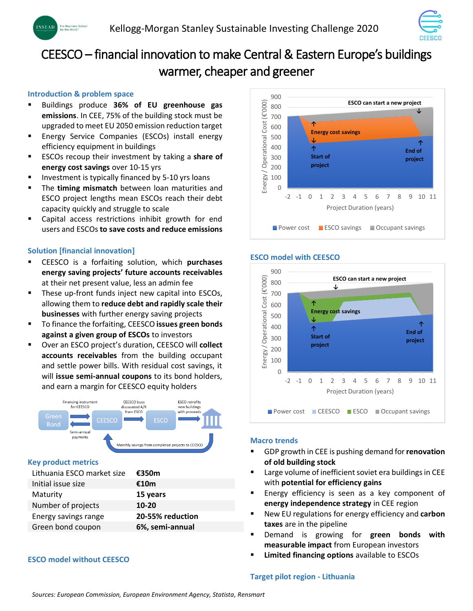

# CEESCO – financial innovation to make Central & Eastern Europe's buildings warmer, cheaper and greener

# **Introduction & problem space**

- Buildings produce **36% of EU greenhouse gas emissions**. In CEE, 75% of the building stock must be upgraded to meet EU 2050 emission reduction target
- **Energy Service Companies (ESCOs) install energy** efficiency equipment in buildings
- ESCOs recoup their investment by taking a **share of energy cost savings** over 10-15 yrs
- Investment is typically financed by 5-10 yrs loans
- The **timing mismatch** between loan maturities and ESCO project lengths mean ESCOs reach their debt capacity quickly and struggle to scale
- Capital access restrictions inhibit growth for end users and ESCOs **to save costs and reduce emissions**

# **Solution [financial innovation]**

- CEESCO is a forfaiting solution, which **purchases energy saving projects' future accounts receivables**  at their net present value, less an admin fee
- These up-front funds inject new capital into ESCOs, allowing them to **reduce debt and rapidly scale their businesses** with further energy saving projects
- To finance the forfaiting, CEESCO **issues green bonds against a given group of ESCOs** to investors
- Over an ESCO project's duration, CEESCO will **collect accounts receivables** from the building occupant and settle power bills. With residual cost savings, it will **issue semi-annual coupons** to its bond holders, and earn a margin for CEESCO equity holders



# **Key product metrics**

| Lithuania ESCO market size | €350m            |
|----------------------------|------------------|
| Initial issue size         | €10m             |
| Maturity                   | 15 years         |
| Number of projects         | $10 - 20$        |
| Energy savings range       | 20-55% reduction |
| Green bond coupon          | 6%, semi-annual  |

# **ESCO model without CEESCO**



# **ESCO model with CEESCO**



# **Macro trends**

- GDP growth in CEE is pushing demand for **renovation of old building stock**
- Large volume of inefficient soviet era buildings in CEE with **potential for efficiency gains**
- Energy efficiency is seen as a key component of **energy independence strategy** in CEE region
- New EU regulations for energy efficiency and **carbon taxes** are in the pipeline
- Demand is growing for green bonds with **measurable impact** from European investors
- **Limited financing options** available to ESCOs

#### **Target pilot region - Lithuania**